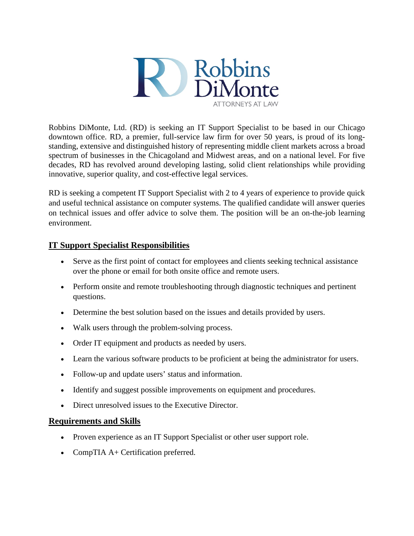

Robbins DiMonte, Ltd. (RD) is seeking an IT Support Specialist to be based in our Chicago downtown office. RD, a premier, full-service law firm for over 50 years, is proud of its longstanding, extensive and distinguished history of representing middle client markets across a broad spectrum of businesses in the Chicagoland and Midwest areas, and on a national level. For five decades, RD has revolved around developing lasting, solid client relationships while providing innovative, superior quality, and cost-effective legal services.

RD is seeking a competent IT Support Specialist with 2 to 4 years of experience to provide quick and useful technical assistance on computer systems. The qualified candidate will answer queries on technical issues and offer advice to solve them. The position will be an on-the-job learning environment.

## **IT Support Specialist Responsibilities**

- Serve as the first point of contact for employees and clients seeking technical assistance over the phone or email for both onsite office and remote users.
- Perform onsite and remote troubleshooting through diagnostic techniques and pertinent questions.
- Determine the best solution based on the issues and details provided by users.
- Walk users through the problem-solving process.
- Order IT equipment and products as needed by users.
- Learn the various software products to be proficient at being the administrator for users.
- Follow-up and update users' status and information.
- Identify and suggest possible improvements on equipment and procedures.
- Direct unresolved issues to the Executive Director.

## **Requirements and Skills**

- Proven experience as an IT Support Specialist or other user support role.
- CompTIA A+ Certification preferred.